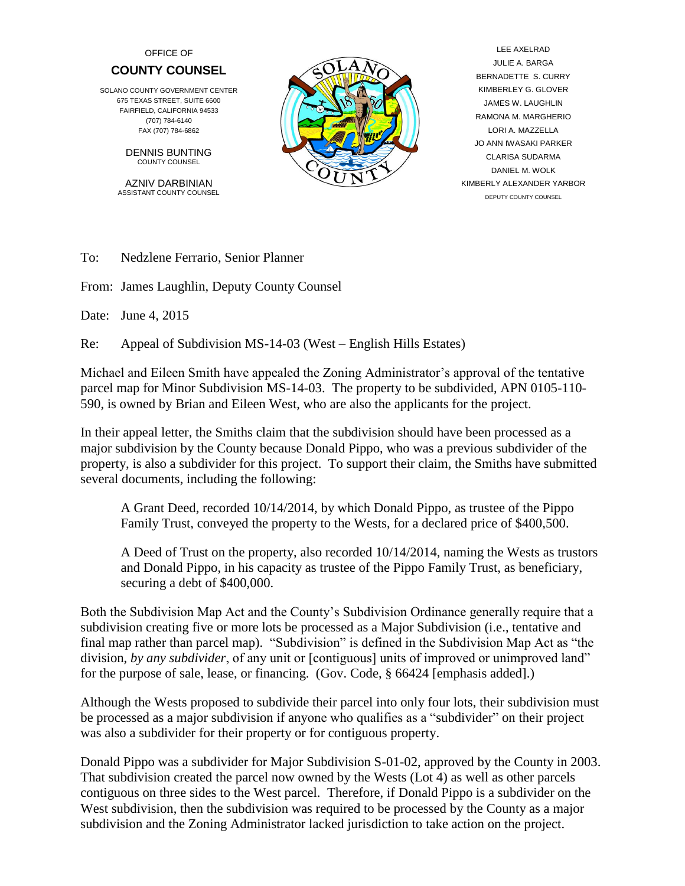## OFFICE OF **COUNTY COUNSEL**

SOLANO COUNTY GOVERNMENT CENTER 675 TEXAS STREET, SUITE 6600 FAIRFIELD, CALIFORNIA 94533 (707) 784-6140 FAX (707) 784-6862

> DENNIS BUNTING COUNTY COUNSEL

AZNIV DARBINIAN ASSISTANT COUNTY COUNSEL



 LEE AXELRAD JULIE A. BARGA BERNADETTE S. CURRY KIMBERLEY G. GLOVER JAMES W. LAUGHLIN RAMONA M. MARGHERIO LORI A. MAZZELLA JO ANN IWASAKI PARKER CLARISA SUDARMA DANIEL M. WOLK KIMBERLY ALEXANDER YARBOR DEPUTY COUNTY COUNSEL

To: Nedzlene Ferrario, Senior Planner

From: James Laughlin, Deputy County Counsel

Date: June 4, 2015

Re: Appeal of Subdivision MS-14-03 (West – English Hills Estates)

Michael and Eileen Smith have appealed the Zoning Administrator's approval of the tentative parcel map for Minor Subdivision MS-14-03. The property to be subdivided, APN 0105-110- 590, is owned by Brian and Eileen West, who are also the applicants for the project.

In their appeal letter, the Smiths claim that the subdivision should have been processed as a major subdivision by the County because Donald Pippo, who was a previous subdivider of the property, is also a subdivider for this project. To support their claim, the Smiths have submitted several documents, including the following:

A Grant Deed, recorded 10/14/2014, by which Donald Pippo, as trustee of the Pippo Family Trust, conveyed the property to the Wests, for a declared price of \$400,500.

A Deed of Trust on the property, also recorded 10/14/2014, naming the Wests as trustors and Donald Pippo, in his capacity as trustee of the Pippo Family Trust, as beneficiary, securing a debt of \$400,000.

Both the Subdivision Map Act and the County's Subdivision Ordinance generally require that a subdivision creating five or more lots be processed as a Major Subdivision (i.e., tentative and final map rather than parcel map). "Subdivision" is defined in the Subdivision Map Act as "the division, *by any subdivider*, of any unit or [contiguous] units of improved or unimproved land" for the purpose of sale, lease, or financing. (Gov. Code, § 66424 [emphasis added].)

Although the Wests proposed to subdivide their parcel into only four lots, their subdivision must be processed as a major subdivision if anyone who qualifies as a "subdivider" on their project was also a subdivider for their property or for contiguous property.

Donald Pippo was a subdivider for Major Subdivision S-01-02, approved by the County in 2003. That subdivision created the parcel now owned by the Wests (Lot 4) as well as other parcels contiguous on three sides to the West parcel. Therefore, if Donald Pippo is a subdivider on the West subdivision, then the subdivision was required to be processed by the County as a major subdivision and the Zoning Administrator lacked jurisdiction to take action on the project.